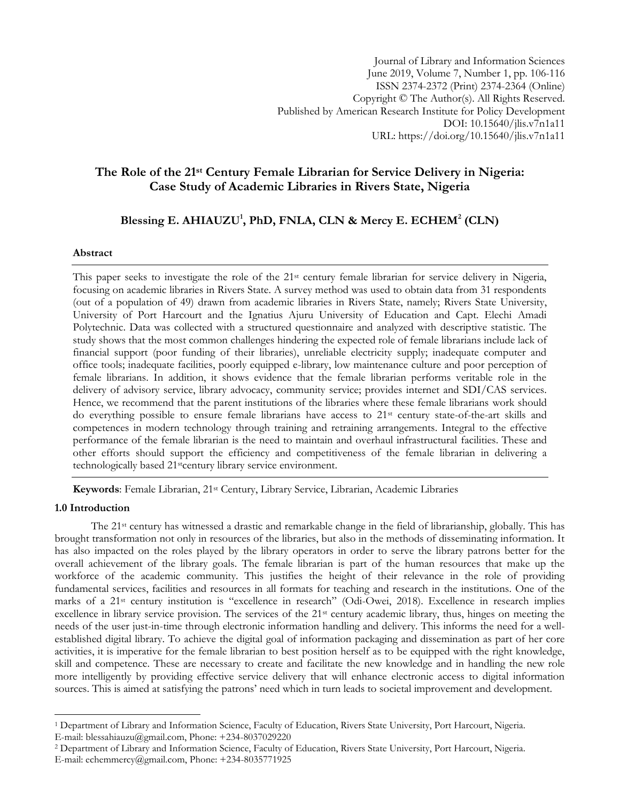Journal of Library and Information Sciences June 2019, Volume 7, Number 1, pp. 106-116 ISSN 2374-2372 (Print) 2374-2364 (Online) Copyright © The Author(s). All Rights Reserved. Published by American Research Institute for Policy Development DOI: 10.15640/jlis.v7n1a11 URL: https://doi.org/10.15640/jlis.v7n1a11

# **The Role of the 21st Century Female Librarian for Service Delivery in Nigeria: Case Study of Academic Libraries in Rivers State, Nigeria**

**Blessing E. AHIAUZU<sup>1</sup> , PhD, FNLA, CLN & Mercy E. ECHEM<sup>2</sup> (CLN)**

## **Abstract**

This paper seeks to investigate the role of the 21<sup>st</sup> century female librarian for service delivery in Nigeria, focusing on academic libraries in Rivers State. A survey method was used to obtain data from 31 respondents (out of a population of 49) drawn from academic libraries in Rivers State, namely; Rivers State University, University of Port Harcourt and the Ignatius Ajuru University of Education and Capt. Elechi Amadi Polytechnic. Data was collected with a structured questionnaire and analyzed with descriptive statistic. The study shows that the most common challenges hindering the expected role of female librarians include lack of financial support (poor funding of their libraries), unreliable electricity supply; inadequate computer and office tools; inadequate facilities, poorly equipped e-library, low maintenance culture and poor perception of female librarians. In addition, it shows evidence that the female librarian performs veritable role in the delivery of advisory service, library advocacy, community service; provides internet and SDI/CAS services. Hence, we recommend that the parent institutions of the libraries where these female librarians work should do everything possible to ensure female librarians have access to  $21<sup>st</sup>$  century state-of-the-art skills and competences in modern technology through training and retraining arrangements. Integral to the effective performance of the female librarian is the need to maintain and overhaul infrastructural facilities. These and other efforts should support the efficiency and competitiveness of the female librarian in delivering a technologically based 21<sup>st</sup>century library service environment.

**Keywords**: Female Librarian, 21st Century, Library Service, Librarian, Academic Libraries

## **1.0 Introduction**

l

The 21st century has witnessed a drastic and remarkable change in the field of librarianship, globally. This has brought transformation not only in resources of the libraries, but also in the methods of disseminating information. It has also impacted on the roles played by the library operators in order to serve the library patrons better for the overall achievement of the library goals. The female librarian is part of the human resources that make up the workforce of the academic community. This justifies the height of their relevance in the role of providing fundamental services, facilities and resources in all formats for teaching and research in the institutions. One of the marks of a 21st century institution is "excellence in research" (Odi-Owei, 2018). Excellence in research implies excellence in library service provision. The services of the 21<sup>st</sup> century academic library, thus, hinges on meeting the needs of the user just-in-time through electronic information handling and delivery. This informs the need for a wellestablished digital library. To achieve the digital goal of information packaging and dissemination as part of her core activities, it is imperative for the female librarian to best position herself as to be equipped with the right knowledge, skill and competence. These are necessary to create and facilitate the new knowledge and in handling the new role more intelligently by providing effective service delivery that will enhance electronic access to digital information sources. This is aimed at satisfying the patrons' need which in turn leads to societal improvement and development.

<sup>1</sup> Department of Library and Information Science, Faculty of Education, Rivers State University, Port Harcourt, Nigeria. E-mail: blessahiauzu@gmail.com, Phone: +234-8037029220

<sup>2</sup> Department of Library and Information Science, Faculty of Education, Rivers State University, Port Harcourt, Nigeria. E-mail: echemmercy@gmail.com, Phone: +234-8035771925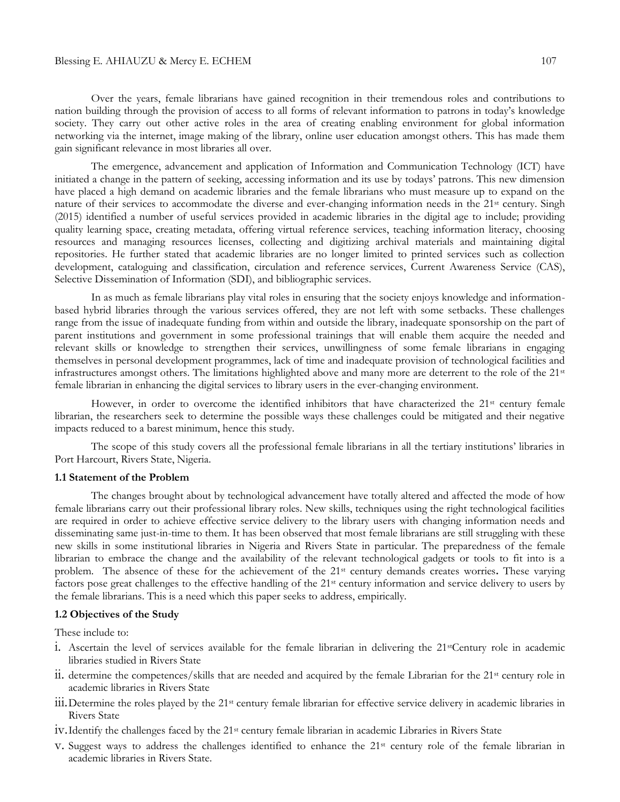#### Blessing E. AHIAUZU & Mercy E. ECHEM 107

Over the years, female librarians have gained recognition in their tremendous roles and contributions to nation building through the provision of access to all forms of relevant information to patrons in today's knowledge society. They carry out other active roles in the area of creating enabling environment for global information networking via the internet, image making of the library, online user education amongst others. This has made them gain significant relevance in most libraries all over.

The emergence, advancement and application of Information and Communication Technology (ICT) have initiated a change in the pattern of seeking, accessing information and its use by todays' patrons. This new dimension have placed a high demand on academic libraries and the female librarians who must measure up to expand on the nature of their services to accommodate the diverse and ever-changing information needs in the 21<sup>st</sup> century. Singh (2015) identified a number of useful services provided in academic libraries in the digital age to include; providing quality learning space, creating metadata, offering virtual reference services, teaching information literacy, choosing resources and managing resources licenses, collecting and digitizing archival materials and maintaining digital repositories. He further stated that academic libraries are no longer limited to printed services such as collection development, cataloguing and classification, circulation and reference services, Current Awareness Service (CAS), Selective Dissemination of Information (SDI), and bibliographic services.

In as much as female librarians play vital roles in ensuring that the society enjoys knowledge and informationbased hybrid libraries through the various services offered, they are not left with some setbacks. These challenges range from the issue of inadequate funding from within and outside the library, inadequate sponsorship on the part of parent institutions and government in some professional trainings that will enable them acquire the needed and relevant skills or knowledge to strengthen their services, unwillingness of some female librarians in engaging themselves in personal development programmes, lack of time and inadequate provision of technological facilities and infrastructures amongst others. The limitations highlighted above and many more are deterrent to the role of the 21st female librarian in enhancing the digital services to library users in the ever-changing environment.

However, in order to overcome the identified inhibitors that have characterized the 21<sup>st</sup> century female librarian, the researchers seek to determine the possible ways these challenges could be mitigated and their negative impacts reduced to a barest minimum, hence this study.

The scope of this study covers all the professional female librarians in all the tertiary institutions' libraries in Port Harcourt, Rivers State, Nigeria.

### **1.1 Statement of the Problem**

The changes brought about by technological advancement have totally altered and affected the mode of how female librarians carry out their professional library roles. New skills, techniques using the right technological facilities are required in order to achieve effective service delivery to the library users with changing information needs and disseminating same just-in-time to them. It has been observed that most female librarians are still struggling with these new skills in some institutional libraries in Nigeria and Rivers State in particular. The preparedness of the female librarian to embrace the change and the availability of the relevant technological gadgets or tools to fit into is a problem. The absence of these for the achievement of the 21st century demands creates worries**.** These varying factors pose great challenges to the effective handling of the 21st century information and service delivery to users by the female librarians. This is a need which this paper seeks to address, empirically.

#### **1.2 Objectives of the Study**

These include to:

- i. Ascertain the level of services available for the female librarian in delivering the 21stCentury role in academic libraries studied in Rivers State
- ii. determine the competences/skills that are needed and acquired by the female Librarian for the 21st century role in academic libraries in Rivers State
- iii.Determine the roles played by the 21st century female librarian for effective service delivery in academic libraries in Rivers State
- iv.Identify the challenges faced by the 21st century female librarian in academic Libraries in Rivers State
- v. Suggest ways to address the challenges identified to enhance the 21st century role of the female librarian in academic libraries in Rivers State.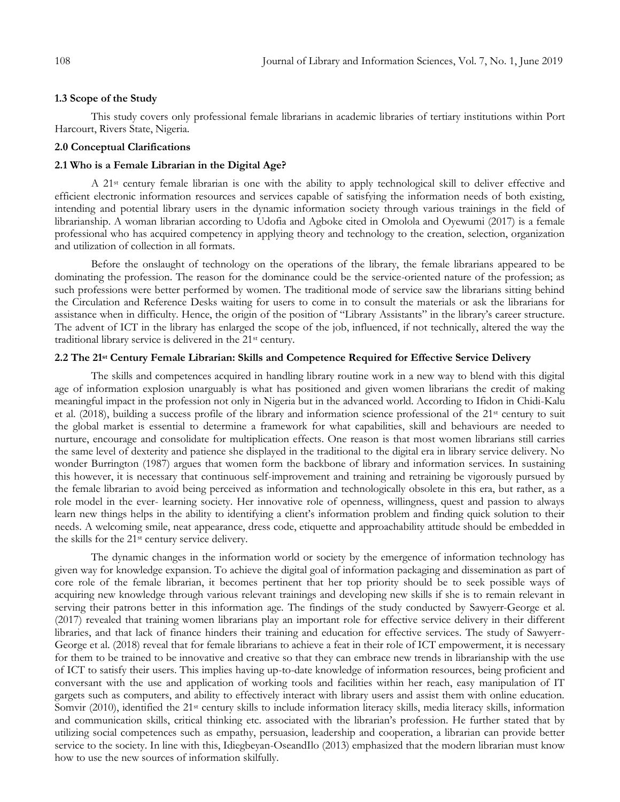### **1.3 Scope of the Study**

This study covers only professional female librarians in academic libraries of tertiary institutions within Port Harcourt, Rivers State, Nigeria.

#### **2.0 Conceptual Clarifications**

### **2.1 Who is a Female Librarian in the Digital Age?**

A 21st century female librarian is one with the ability to apply technological skill to deliver effective and efficient electronic information resources and services capable of satisfying the information needs of both existing, intending and potential library users in the dynamic information society through various trainings in the field of librarianship. A woman librarian according to Udofia and Agboke cited in Omolola and Oyewumi (2017) is a female professional who has acquired competency in applying theory and technology to the creation, selection, organization and utilization of collection in all formats.

Before the onslaught of technology on the operations of the library, the female librarians appeared to be dominating the profession. The reason for the dominance could be the service-oriented nature of the profession; as such professions were better performed by women. The traditional mode of service saw the librarians sitting behind the Circulation and Reference Desks waiting for users to come in to consult the materials or ask the librarians for assistance when in difficulty. Hence, the origin of the position of "Library Assistants" in the library's career structure. The advent of ICT in the library has enlarged the scope of the job, influenced, if not technically, altered the way the traditional library service is delivered in the 21st century.

## **2.2 The 21st Century Female Librarian: Skills and Competence Required for Effective Service Delivery**

The skills and competences acquired in handling library routine work in a new way to blend with this digital age of information explosion unarguably is what has positioned and given women librarians the credit of making meaningful impact in the profession not only in Nigeria but in the advanced world. According to Ifidon in Chidi-Kalu et al. (2018), building a success profile of the library and information science professional of the 21st century to suit the global market is essential to determine a framework for what capabilities, skill and behaviours are needed to nurture, encourage and consolidate for multiplication effects. One reason is that most women librarians still carries the same level of dexterity and patience she displayed in the traditional to the digital era in library service delivery. No wonder Burrington (1987) argues that women form the backbone of library and information services. In sustaining this however, it is necessary that continuous self-improvement and training and retraining be vigorously pursued by the female librarian to avoid being perceived as information and technologically obsolete in this era, but rather, as a role model in the ever- learning society. Her innovative role of openness, willingness, quest and passion to always learn new things helps in the ability to identifying a client's information problem and finding quick solution to their needs. A welcoming smile, neat appearance, dress code, etiquette and approachability attitude should be embedded in the skills for the 21st century service delivery.

The dynamic changes in the information world or society by the emergence of information technology has given way for knowledge expansion. To achieve the digital goal of information packaging and dissemination as part of core role of the female librarian, it becomes pertinent that her top priority should be to seek possible ways of acquiring new knowledge through various relevant trainings and developing new skills if she is to remain relevant in serving their patrons better in this information age. The findings of the study conducted by Sawyerr-George et al. (2017) revealed that training women librarians play an important role for effective service delivery in their different libraries, and that lack of finance hinders their training and education for effective services. The study of Sawyerr-George et al. (2018) reveal that for female librarians to achieve a feat in their role of ICT empowerment, it is necessary for them to be trained to be innovative and creative so that they can embrace new trends in librarianship with the use of ICT to satisfy their users. This implies having up-to-date knowledge of information resources, being proficient and conversant with the use and application of working tools and facilities within her reach, easy manipulation of IT gargets such as computers, and ability to effectively interact with library users and assist them with online education. Somvir (2010), identified the 21st century skills to include information literacy skills, media literacy skills, information and communication skills, critical thinking etc. associated with the librarian's profession. He further stated that by utilizing social competences such as empathy, persuasion, leadership and cooperation, a librarian can provide better service to the society. In line with this, Idiegbeyan-OseandIlo (2013) emphasized that the modern librarian must know how to use the new sources of information skilfully.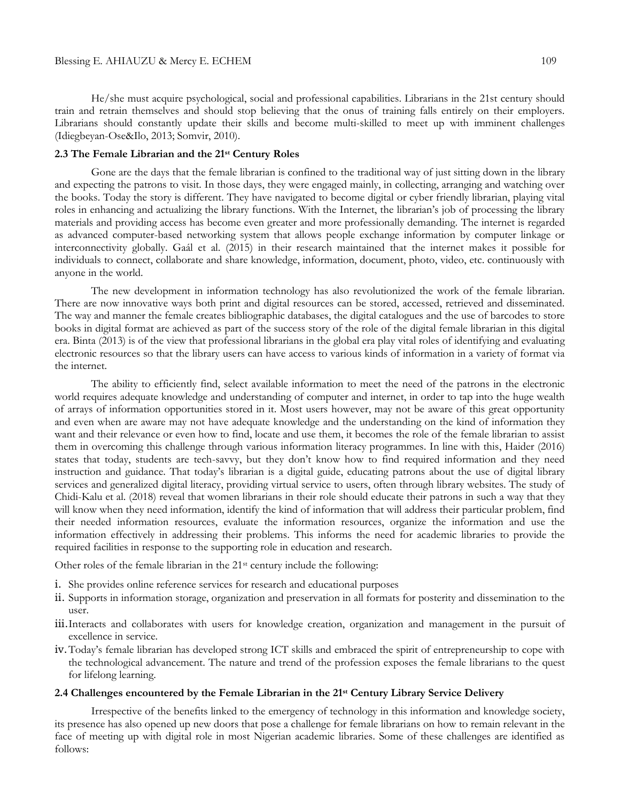He/she must acquire psychological, social and professional capabilities. Librarians in the 21st century should train and retrain themselves and should stop believing that the onus of training falls entirely on their employers. Librarians should constantly update their skills and become multi-skilled to meet up with imminent challenges (Idiegbeyan-Ose&Ilo, 2013; Somvir, 2010).

## **2.3 The Female Librarian and the 21st Century Roles**

Gone are the days that the female librarian is confined to the traditional way of just sitting down in the library and expecting the patrons to visit. In those days, they were engaged mainly, in collecting, arranging and watching over the books. Today the story is different. They have navigated to become digital or cyber friendly librarian, playing vital roles in enhancing and actualizing the library functions. With the Internet, the librarian's job of processing the library materials and providing access has become even greater and more professionally demanding. The internet is regarded as advanced computer-based networking system that allows people exchange information by computer linkage or interconnectivity globally. Gaál et al. (2015) in their research maintained that the internet makes it possible for individuals to connect, collaborate and share knowledge, information, document, photo, video, etc. continuously with anyone in the world.

The new development in information technology has also revolutionized the work of the female librarian. There are now innovative ways both print and digital resources can be stored, accessed, retrieved and disseminated. The way and manner the female creates bibliographic databases, the digital catalogues and the use of barcodes to store books in digital format are achieved as part of the success story of the role of the digital female librarian in this digital era. Binta (2013) is of the view that professional librarians in the global era play vital roles of identifying and evaluating electronic resources so that the library users can have access to various kinds of information in a variety of format via the internet.

The ability to efficiently find, select available information to meet the need of the patrons in the electronic world requires adequate knowledge and understanding of computer and internet, in order to tap into the huge wealth of arrays of information opportunities stored in it. Most users however, may not be aware of this great opportunity and even when are aware may not have adequate knowledge and the understanding on the kind of information they want and their relevance or even how to find, locate and use them, it becomes the role of the female librarian to assist them in overcoming this challenge through various information literacy programmes. In line with this, Haider (2016) states that today, students are tech-savvy, but they don't know how to find required information and they need instruction and guidance. That today's librarian is a digital guide, educating patrons about the use of digital library services and generalized digital literacy, providing virtual service to users, often through library websites. The study of Chidi-Kalu et al. (2018) reveal that women librarians in their role should educate their patrons in such a way that they will know when they need information, identify the kind of information that will address their particular problem, find their needed information resources, evaluate the information resources, organize the information and use the information effectively in addressing their problems. This informs the need for academic libraries to provide the required facilities in response to the supporting role in education and research.

Other roles of the female librarian in the 21st century include the following:

- i. She provides online reference services for research and educational purposes
- ii. Supports in information storage, organization and preservation in all formats for posterity and dissemination to the user.
- iii.Interacts and collaborates with users for knowledge creation, organization and management in the pursuit of excellence in service.
- iv.Today's female librarian has developed strong ICT skills and embraced the spirit of entrepreneurship to cope with the technological advancement. The nature and trend of the profession exposes the female librarians to the quest for lifelong learning.

## **2.4 Challenges encountered by the Female Librarian in the 21st Century Library Service Delivery**

Irrespective of the benefits linked to the emergency of technology in this information and knowledge society, its presence has also opened up new doors that pose a challenge for female librarians on how to remain relevant in the face of meeting up with digital role in most Nigerian academic libraries. Some of these challenges are identified as follows: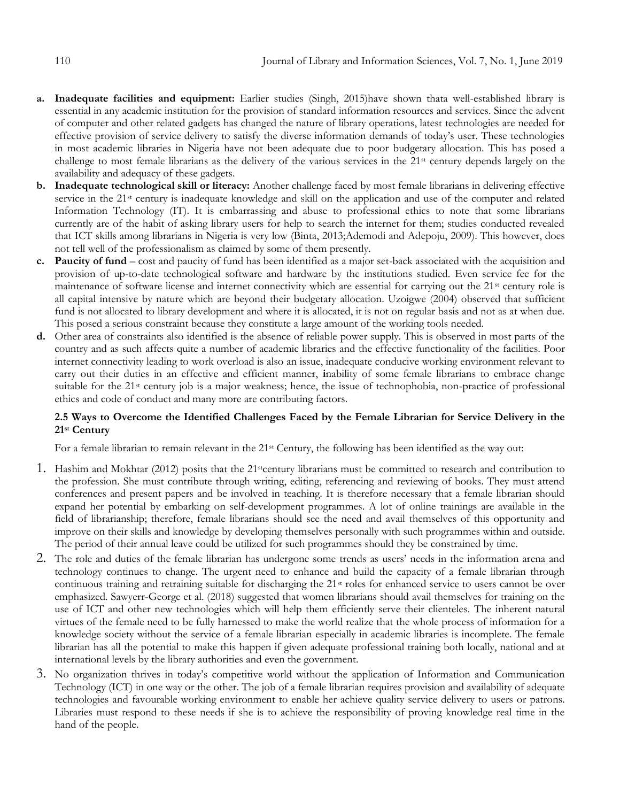- **a. Inadequate facilities and equipment:** Earlier studies (Singh, 2015)have shown thata well-established library is essential in any academic institution for the provision of standard information resources and services. Since the advent of computer and other related gadgets has changed the nature of library operations, latest technologies are needed for effective provision of service delivery to satisfy the diverse information demands of today's user. These technologies in most academic libraries in Nigeria have not been adequate due to poor budgetary allocation. This has posed a challenge to most female librarians as the delivery of the various services in the 21st century depends largely on the availability and adequacy of these gadgets.
- **b. Inadequate technological skill or literacy:** Another challenge faced by most female librarians in delivering effective service in the 21<sup>st</sup> century is inadequate knowledge and skill on the application and use of the computer and related Information Technology (IT). It is embarrassing and abuse to professional ethics to note that some librarians currently are of the habit of asking library users for help to search the internet for them; studies conducted revealed that ICT skills among librarians in Nigeria is very low (Binta, 2013;Ademodi and Adepoju, 2009). This however, does not tell well of the professionalism as claimed by some of them presently.
- **c. Paucity of fund** cost and paucity of fund has been identified as a major set-back associated with the acquisition and provision of up-to-date technological software and hardware by the institutions studied. Even service fee for the maintenance of software license and internet connectivity which are essential for carrying out the 21<sup>st</sup> century role is all capital intensive by nature which are beyond their budgetary allocation. Uzoigwe (2004) observed that sufficient fund is not allocated to library development and where it is allocated, it is not on regular basis and not as at when due. This posed a serious constraint because they constitute a large amount of the working tools needed.
- **d.** Other area of constraints also identified is the absence of reliable power supply. This is observed in most parts of the country and as such affects quite a number of academic libraries and the effective functionality of the facilities. Poor internet connectivity leading to work overload is also an issue, inadequate conducive working environment relevant to carry out their duties in an effective and efficient manner, **i**nability of some female librarians to embrace change suitable for the 21<sup>st</sup> century job is a major weakness; hence, the issue of technophobia, non-practice of professional ethics and code of conduct and many more are contributing factors.

# **2.5 Ways to Overcome the Identified Challenges Faced by the Female Librarian for Service Delivery in the 21st Century**

For a female librarian to remain relevant in the 21st Century, the following has been identified as the way out:

- 1. Hashim and Mokhtar (2012) posits that the 21stcentury librarians must be committed to research and contribution to the profession. She must contribute through writing, editing, referencing and reviewing of books. They must attend conferences and present papers and be involved in teaching. It is therefore necessary that a female librarian should expand her potential by embarking on self-development programmes. A lot of online trainings are available in the field of librarianship; therefore, female librarians should see the need and avail themselves of this opportunity and improve on their skills and knowledge by developing themselves personally with such programmes within and outside. The period of their annual leave could be utilized for such programmes should they be constrained by time.
- 2. The role and duties of the female librarian has undergone some trends as users' needs in the information arena and technology continues to change. The urgent need to enhance and build the capacity of a female librarian through continuous training and retraining suitable for discharging the 21st roles for enhanced service to users cannot be over emphasized. Sawyerr-George et al. (2018) suggested that women librarians should avail themselves for training on the use of ICT and other new technologies which will help them efficiently serve their clienteles. The inherent natural virtues of the female need to be fully harnessed to make the world realize that the whole process of information for a knowledge society without the service of a female librarian especially in academic libraries is incomplete. The female librarian has all the potential to make this happen if given adequate professional training both locally, national and at international levels by the library authorities and even the government.
- 3. No organization thrives in today's competitive world without the application of Information and Communication Technology (ICT) in one way or the other. The job of a female librarian requires provision and availability of adequate technologies and favourable working environment to enable her achieve quality service delivery to users or patrons. Libraries must respond to these needs if she is to achieve the responsibility of proving knowledge real time in the hand of the people.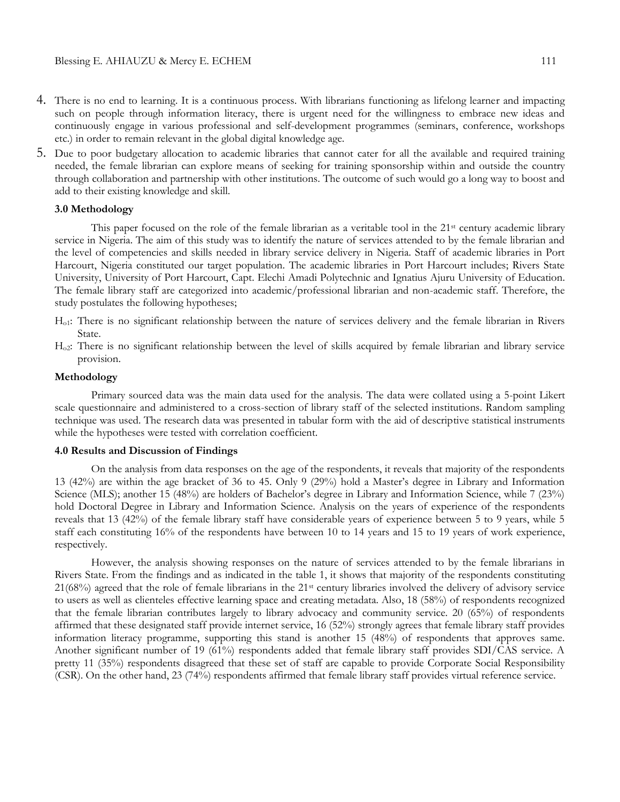- 4. There is no end to learning. It is a continuous process. With librarians functioning as lifelong learner and impacting such on people through information literacy, there is urgent need for the willingness to embrace new ideas and continuously engage in various professional and self-development programmes (seminars, conference, workshops etc.) in order to remain relevant in the global digital knowledge age.
- 5. Due to poor budgetary allocation to academic libraries that cannot cater for all the available and required training needed, the female librarian can explore means of seeking for training sponsorship within and outside the country through collaboration and partnership with other institutions. The outcome of such would go a long way to boost and add to their existing knowledge and skill.

## **3.0 Methodology**

This paper focused on the role of the female librarian as a veritable tool in the  $21<sup>st</sup>$  century academic library service in Nigeria. The aim of this study was to identify the nature of services attended to by the female librarian and the level of competencies and skills needed in library service delivery in Nigeria. Staff of academic libraries in Port Harcourt, Nigeria constituted our target population. The academic libraries in Port Harcourt includes; Rivers State University, University of Port Harcourt, Capt. Elechi Amadi Polytechnic and Ignatius Ajuru University of Education. The female library staff are categorized into academic/professional librarian and non-academic staff. Therefore, the study postulates the following hypotheses;

- Ho1: There is no significant relationship between the nature of services delivery and the female librarian in Rivers State.
- Ho2: There is no significant relationship between the level of skills acquired by female librarian and library service provision.

#### **Methodology**

Primary sourced data was the main data used for the analysis. The data were collated using a 5-point Likert scale questionnaire and administered to a cross-section of library staff of the selected institutions. Random sampling technique was used. The research data was presented in tabular form with the aid of descriptive statistical instruments while the hypotheses were tested with correlation coefficient.

#### **4.0 Results and Discussion of Findings**

On the analysis from data responses on the age of the respondents, it reveals that majority of the respondents 13 (42%) are within the age bracket of 36 to 45. Only 9 (29%) hold a Master's degree in Library and Information Science (MLS); another 15 (48%) are holders of Bachelor's degree in Library and Information Science, while 7 (23%) hold Doctoral Degree in Library and Information Science. Analysis on the years of experience of the respondents reveals that 13 (42%) of the female library staff have considerable years of experience between 5 to 9 years, while 5 staff each constituting 16% of the respondents have between 10 to 14 years and 15 to 19 years of work experience, respectively.

However, the analysis showing responses on the nature of services attended to by the female librarians in Rivers State. From the findings and as indicated in the table 1, it shows that majority of the respondents constituting 21(68%) agreed that the role of female librarians in the 21st century libraries involved the delivery of advisory service to users as well as clienteles effective learning space and creating metadata. Also, 18 (58%) of respondents recognized that the female librarian contributes largely to library advocacy and community service. 20 (65%) of respondents affirmed that these designated staff provide internet service, 16 (52%) strongly agrees that female library staff provides information literacy programme, supporting this stand is another 15 (48%) of respondents that approves same. Another significant number of 19 (61%) respondents added that female library staff provides SDI/CAS service. A pretty 11 (35%) respondents disagreed that these set of staff are capable to provide Corporate Social Responsibility (CSR). On the other hand, 23 (74%) respondents affirmed that female library staff provides virtual reference service.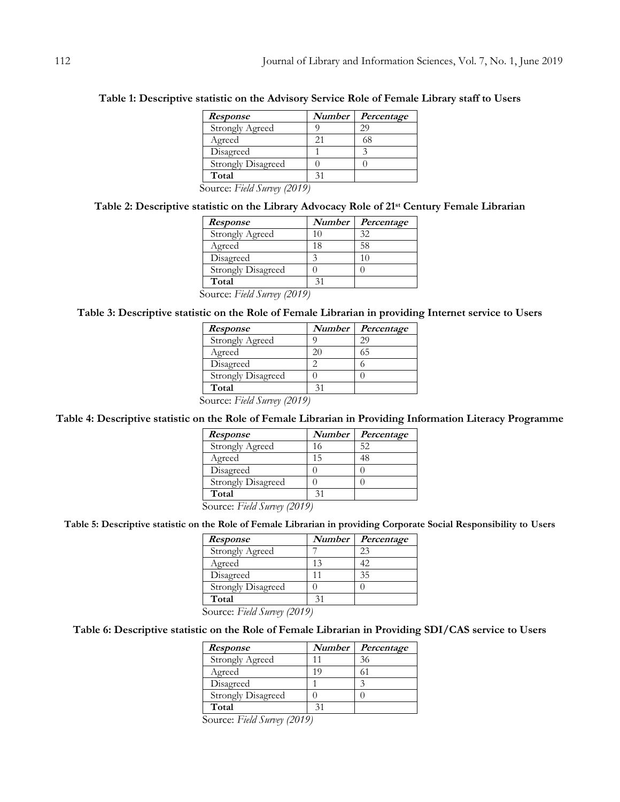| <i>Response</i>           | Number | Percentage |
|---------------------------|--------|------------|
| Strongly Agreed           |        | 29         |
| Agreed                    | 21     | 68         |
| Disagreed                 |        |            |
| <b>Strongly Disagreed</b> |        |            |
| Total                     | 31     |            |

**Table 1: Descriptive statistic on the Advisory Service Role of Female Library staff to Users**

Source: *Field Survey (2019)*

## **Table 2: Descriptive statistic on the Library Advocacy Role of 21st Century Female Librarian**

| Response                  | <b>Number</b> | Percentage |
|---------------------------|---------------|------------|
| <b>Strongly Agreed</b>    | 10            | 32         |
| Agreed                    | 18            | 58         |
| Disagreed                 |               |            |
| <b>Strongly Disagreed</b> |               |            |
| Total                     |               |            |

Source: *Field Survey (2019)*

# **Table 3: Descriptive statistic on the Role of Female Librarian in providing Internet service to Users**

| <i>Response</i>             | Number | Percentage |
|-----------------------------|--------|------------|
| <b>Strongly Agreed</b>      |        | 29         |
| Agreed                      | 20     | 65         |
| Disagreed                   |        |            |
| <b>Strongly Disagreed</b>   |        |            |
| Total                       | 31     |            |
| Source: Field Survey (2019) |        |            |

Source: *Field Survey (2019)*

# **Table 4: Descriptive statistic on the Role of Female Librarian in Providing Information Literacy Programme**

| <i>Response</i>                                                   | Number | Percentage |
|-------------------------------------------------------------------|--------|------------|
| <b>Strongly Agreed</b>                                            | 16     | 52         |
| Agreed                                                            | 15     | 48         |
| Disagreed                                                         |        |            |
| <b>Strongly Disagreed</b>                                         |        |            |
| Total                                                             |        |            |
| $\Gamma$ $\cdot$ $\ell$ $\Gamma$<br>$\curvearrowright$<br>(0.010) |        |            |

Source: *Field Survey (2019)*

# **Table 5: Descriptive statistic on the Role of Female Librarian in providing Corporate Social Responsibility to Users**

| <b>Response</b>           | <b>Number</b> | Percentage |
|---------------------------|---------------|------------|
| <b>Strongly Agreed</b>    |               | 23         |
| Agreed                    | 13            | 42.        |
| Disagreed                 |               | 35         |
| <b>Strongly Disagreed</b> |               |            |
| Total                     |               |            |

Source: *Field Survey (2019)*

# **Table 6: Descriptive statistic on the Role of Female Librarian in Providing SDI/CAS service to Users**

| <i>Response</i>           |    | Number   Percentage |
|---------------------------|----|---------------------|
| <b>Strongly Agreed</b>    |    | 36                  |
| Agreed                    | 19 |                     |
| Disagreed                 |    |                     |
| <b>Strongly Disagreed</b> |    |                     |
| Total                     |    |                     |

Source: *Field Survey (2019)*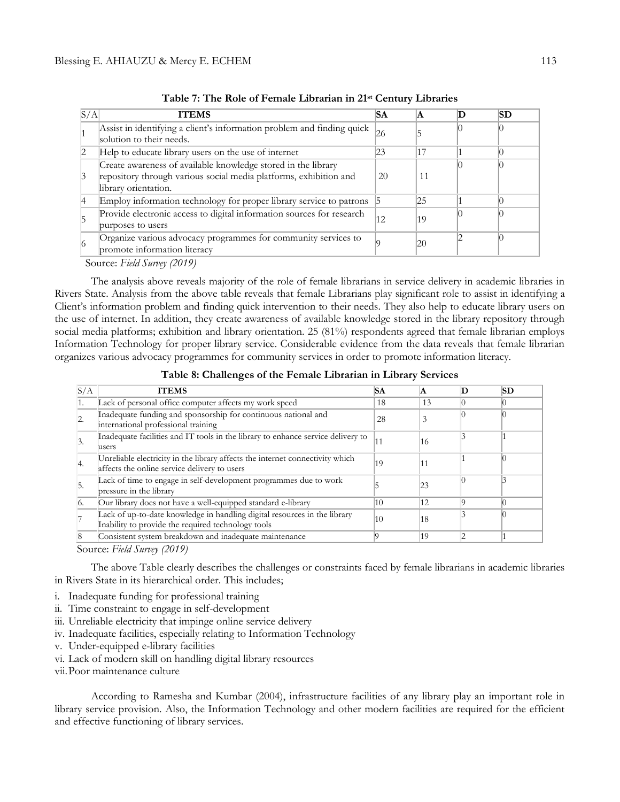| S/A | <b>ITEMS</b>                                                                                                                                               | SА | ΙA | SD |
|-----|------------------------------------------------------------------------------------------------------------------------------------------------------------|----|----|----|
|     | Assist in identifying a client's information problem and finding quick<br>solution to their needs.                                                         | 26 |    |    |
|     | Help to educate library users on the use of internet                                                                                                       | 23 | 17 |    |
|     | Create awareness of available knowledge stored in the library<br>repository through various social media platforms, exhibition and<br>library orientation. | 20 | 11 |    |
|     | Employ information technology for proper library service to patrons 5                                                                                      |    | 25 |    |
|     | Provide electronic access to digital information sources for research<br>purposes to users                                                                 | 12 | 19 |    |
|     | Organize various advocacy programmes for community services to<br>promote information literacy                                                             |    | 20 |    |

**Table 7: The Role of Female Librarian in 21st Century Libraries**

Source: *Field Survey (2019)*

The analysis above reveals majority of the role of female librarians in service delivery in academic libraries in Rivers State. Analysis from the above table reveals that female Librarians play significant role to assist in identifying a Client's information problem and finding quick intervention to their needs. They also help to educate library users on the use of internet. In addition, they create awareness of available knowledge stored in the library repository through social media platforms; exhibition and library orientation. 25 (81%) respondents agreed that female librarian employs Information Technology for proper library service. Considerable evidence from the data reveals that female librarian organizes various advocacy programmes for community services in order to promote information literacy.

| Table 8: Challenges of the Female Librarian in Library Services |  |  |  |
|-----------------------------------------------------------------|--|--|--|
|                                                                 |  |  |  |

| S/A | <b>ITEMS</b>                                                                                                                    | SА | IA. | SD |
|-----|---------------------------------------------------------------------------------------------------------------------------------|----|-----|----|
|     | Lack of personal office computer affects my work speed                                                                          | 18 | 13  |    |
|     | Inadequate funding and sponsorship for continuous national and<br>international professional training                           | 28 | 3   |    |
|     | Inadequate facilities and IT tools in the library to enhance service delivery to<br>lusers                                      | 11 | 16  |    |
| Ι4. | Unreliable electricity in the library affects the internet connectivity which<br>affects the online service delivery to users   | 19 | 11  |    |
| 15. | Lack of time to engage in self-development programmes due to work<br>pressure in the library                                    |    | 123 |    |
|     | Our library does not have a well-equipped standard e-library                                                                    | 10 | 12  |    |
|     | Lack of up-to-date knowledge in handling digital resources in the library<br>Inability to provide the required technology tools | 10 | 18  |    |
|     | Consistent system breakdown and inadequate maintenance                                                                          |    | 19  |    |

Source: *Field Survey (2019)*

The above Table clearly describes the challenges or constraints faced by female librarians in academic libraries in Rivers State in its hierarchical order. This includes;

- i. Inadequate funding for professional training
- ii. Time constraint to engage in self-development
- iii. Unreliable electricity that impinge online service delivery
- iv. Inadequate facilities, especially relating to Information Technology
- v. Under-equipped e-library facilities
- vi. Lack of modern skill on handling digital library resources
- vii.Poor maintenance culture

According to Ramesha and Kumbar (2004), infrastructure facilities of any library play an important role in library service provision. Also, the Information Technology and other modern facilities are required for the efficient and effective functioning of library services.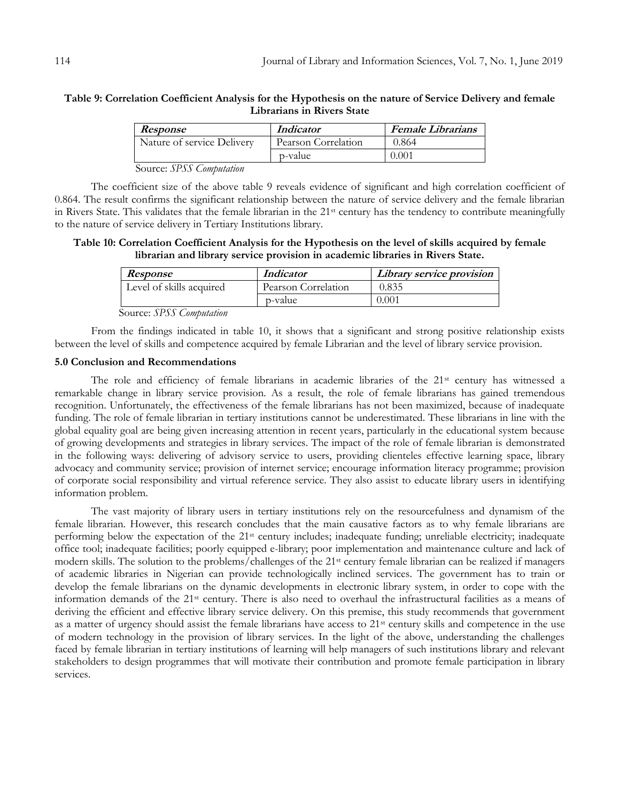## **Table 9: Correlation Coefficient Analysis for the Hypothesis on the nature of Service Delivery and female Librarians in Rivers State**

| Response                                      | <i>Indicator</i>    | <b>Female Librarians</b> |
|-----------------------------------------------|---------------------|--------------------------|
| Nature of service Delivery                    | Pearson Correlation | 0.864                    |
|                                               | p-value             | 0.001                    |
| $\alpha$ $\alpha$ $\alpha$ $\alpha$<br>$\sim$ |                     |                          |

Source: *SPSS Computation*

The coefficient size of the above table 9 reveals evidence of significant and high correlation coefficient of 0.864. The result confirms the significant relationship between the nature of service delivery and the female librarian in Rivers State. This validates that the female librarian in the 21st century has the tendency to contribute meaningfully to the nature of service delivery in Tertiary Institutions library.

## **Table 10: Correlation Coefficient Analysis for the Hypothesis on the level of skills acquired by female librarian and library service provision in academic libraries in Rivers State.**

| <i>Response</i>          | <i>Indicator</i>    | Library service provision |
|--------------------------|---------------------|---------------------------|
| Level of skills acquired | Pearson Correlation | 0.835                     |
|                          | p-value             | 0.001                     |

Source: *SPSS Computation*

From the findings indicated in table 10, it shows that a significant and strong positive relationship exists between the level of skills and competence acquired by female Librarian and the level of library service provision.

### **5.0 Conclusion and Recommendations**

The role and efficiency of female librarians in academic libraries of the 21st century has witnessed a remarkable change in library service provision. As a result, the role of female librarians has gained tremendous recognition. Unfortunately, the effectiveness of the female librarians has not been maximized, because of inadequate funding. The role of female librarian in tertiary institutions cannot be underestimated. These librarians in line with the global equality goal are being given increasing attention in recent years, particularly in the educational system because of growing developments and strategies in library services. The impact of the role of female librarian is demonstrated in the following ways: delivering of advisory service to users, providing clienteles effective learning space, library advocacy and community service; provision of internet service; encourage information literacy programme; provision of corporate social responsibility and virtual reference service. They also assist to educate library users in identifying information problem.

The vast majority of library users in tertiary institutions rely on the resourcefulness and dynamism of the female librarian. However, this research concludes that the main causative factors as to why female librarians are performing below the expectation of the 21st century includes; inadequate funding; unreliable electricity; inadequate office tool; inadequate facilities; poorly equipped e-library; poor implementation and maintenance culture and lack of modern skills. The solution to the problems/challenges of the 21st century female librarian can be realized if managers of academic libraries in Nigerian can provide technologically inclined services. The government has to train or develop the female librarians on the dynamic developments in electronic library system, in order to cope with the information demands of the 21st century. There is also need to overhaul the infrastructural facilities as a means of deriving the efficient and effective library service delivery. On this premise, this study recommends that government as a matter of urgency should assist the female librarians have access to 21<sup>st</sup> century skills and competence in the use of modern technology in the provision of library services. In the light of the above, understanding the challenges faced by female librarian in tertiary institutions of learning will help managers of such institutions library and relevant stakeholders to design programmes that will motivate their contribution and promote female participation in library services.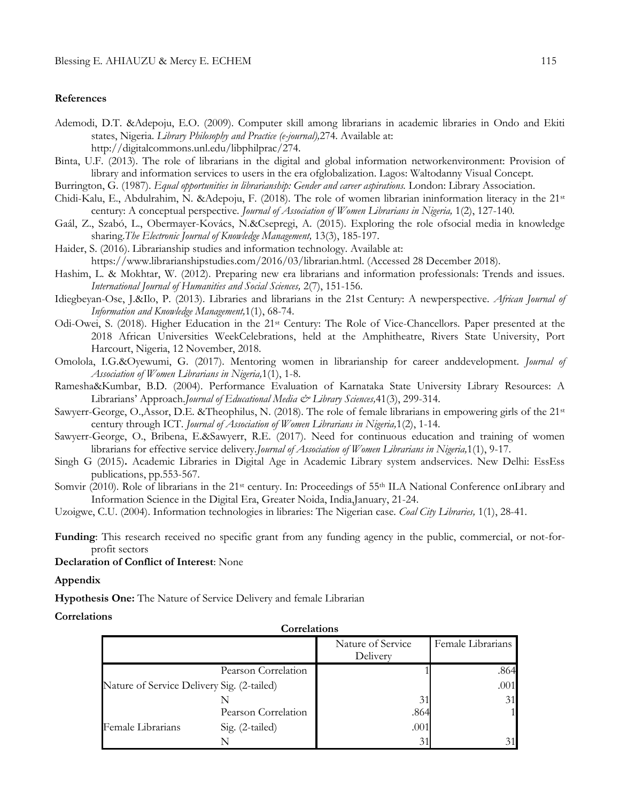#### **References**

- Ademodi, D.T. &Adepoju, E.O. (2009). Computer skill among librarians in academic libraries in Ondo and Ekiti states, Nigeria. *Library Philosophy and Practice (e-journal),*274. Available at: http://digitalcommons.unl.edu/libphilprac/274.
- Binta, U.F. (2013). The role of librarians in the digital and global information networkenvironment: Provision of library and information services to users in the era ofglobalization. Lagos: Waltodanny Visual Concept.
- Burrington, G. (1987). *Equal opportunities in librarianship: Gender and career aspirations.* London: Library Association.
- Chidi-Kalu, E., Abdulrahim, N. &Adepoju, F. (2018). The role of women librarian ininformation literacy in the 21st century: A conceptual perspective. *Journal of Association of Women Librarians in Nigeria*, 1(2), 127-140.
- Gaál, Z., Szabó, L., Obermayer-Kovács, N.&Csepregi, A. (2015). Exploring the role ofsocial media in knowledge sharing.*The Electronic Journal of Knowledge Management,* 13(3), 185-197.
- Haider, S. (2016). Librarianship studies and information technology. Available at: https://www.librarianshipstudies.com/2016/03/librarian.html. (Accessed 28 December 2018).
- Hashim, L. & Mokhtar, W. (2012). Preparing new era librarians and information professionals: Trends and issues. *International Journal of Humanities and Social Sciences,* 2(7), 151-156.
- Idiegbeyan-Ose, J.&Ilo, P. (2013). Libraries and librarians in the 21st Century: A newperspective. *African Journal of Information and Knowledge Management,*1(1), 68-74.
- Odi-Owei, S. (2018). Higher Education in the 21st Century: The Role of Vice-Chancellors*.* Paper presented at the 2018 African Universities WeekCelebrations, held at the Amphitheatre, Rivers State University, Port Harcourt, Nigeria, 12 November, 2018.
- Omolola, I.G.&Oyewumi, G. (2017). Mentoring women in librarianship for career anddevelopment. *Journal of Association of Women Librarians in Nigeria,*1(1), 1-8.
- Ramesha&Kumbar, B.D. (2004). Performance Evaluation of Karnataka State University Library Resources: A Librarians' Approach.*Journal of Educational Media & Library Sciences,*41(3), 299-314.
- Sawyerr-George, O.,Assor, D.E. &Theophilus, N. (2018). The role of female librarians in empowering girls of the 21st century through ICT. *Journal of Association of Women Librarians in Nigeria,*1(2), 1-14.
- Sawyerr-George, O., Bribena, E.&Sawyerr, R.E. (2017). Need for continuous education and training of women librarians for effective service delivery.*Journal of Association of Women Librarians in Nigeria,*1(1), 9-17.
- Singh G (2015)**.** Academic Libraries in Digital Age in Academic Library system andservices. New Delhi: EssEss publications, pp.553-567.
- Somvir (2010). Role of librarians in the 21<sup>st</sup> century. In: Proceedings of 55<sup>th</sup> ILA National Conference onLibrary and Information Science in the Digital Era, Greater Noida, India,January, 21-24.
- Uzoigwe, C.U. (2004). Information technologies in libraries: The Nigerian case. *Coal City Libraries,* 1(1), 28-41.
- **Funding**: This research received no specific grant from any funding agency in the public, commercial, or not-forprofit sectors

## **Declaration of Conflict of Interest**: None

#### **Appendix**

**Hypothesis One:** The Nature of Service Delivery and female Librarian

## **Correlations**

| Correlations                               |                     |                               |                   |  |
|--------------------------------------------|---------------------|-------------------------------|-------------------|--|
|                                            |                     | Nature of Service<br>Delivery | Female Librarians |  |
|                                            | Pearson Correlation |                               | .864              |  |
| Nature of Service Delivery Sig. (2-tailed) |                     |                               | .001              |  |
|                                            |                     | 31                            | 31                |  |
|                                            | Pearson Correlation | .864                          |                   |  |
| Female Librarians                          | Sig. (2-tailed)     | .001                          |                   |  |
|                                            |                     | 31                            |                   |  |